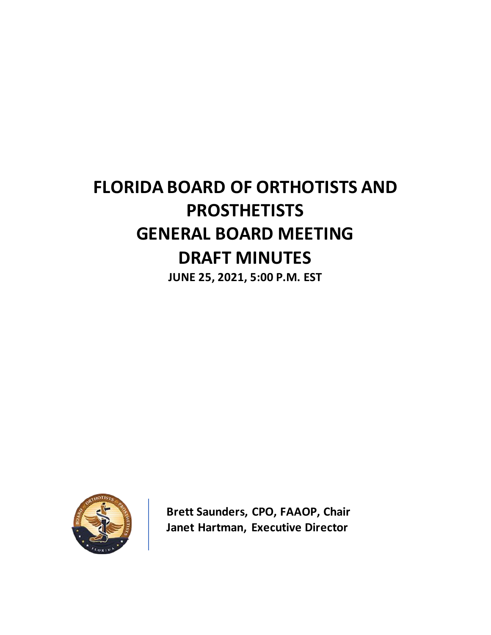# **FLORIDA BOARD OF ORTHOTISTS AND PROSTHETISTS GENERAL BOARD MEETING DRAFT MINUTES**

**JUNE 25, 2021, 5:00 P.M. EST**



**Brett Saunders, CPO, FAAOP, Chair Janet Hartman, Executive Director**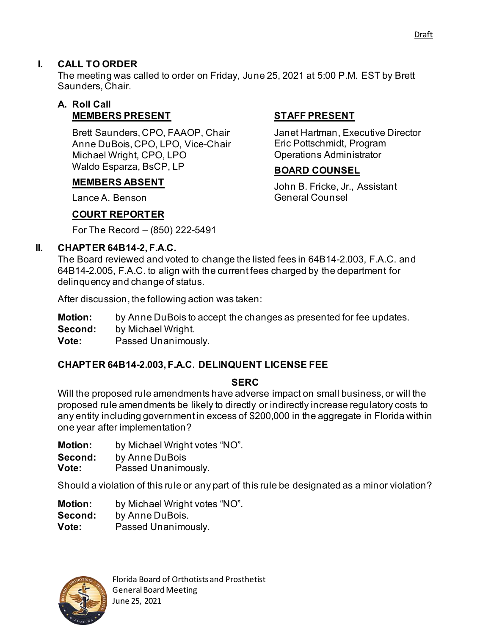## **I. CALL TO ORDER**

The meeting was called to order on Friday, June 25, 2021 at 5:00 P.M. EST by Brett Saunders, Chair.

### **A. Roll Call MEMBERS PRESENT**

Brett Saunders, CPO, FAAOP, Chair Anne DuBois, CPO, LPO, Vice-Chair Michael Wright, CPO, LPO Waldo Esparza, BsCP, LP

### **MEMBERS ABSENT**

Lance A. Benson

# **COURT REPORTER**

For The Record – (850) 222-5491

### **II. CHAPTER 64B14-2, F.A.C.**

The Board reviewed and voted to change the listed fees in 64B14-2.003, F.A.C. and 64B14-2.005, F.A.C. to align with the current fees charged by the department for delinquency and change of status.

After discussion, the following action was taken:

**Motion:** by Anne DuBois to accept the changes as presented for fee updates.

**Second:** by Michael Wright.

**Vote:** Passed Unanimously.

### **CHAPTER 64B14-2.003, F.A.C. DELINQUENT LICENSE FEE**

#### **SERC**

Will the proposed rule amendments have adverse impact on small business, or will the proposed rule amendments be likely to directly or indirectly increase regulatory costs to any entity including government in excess of \$200,000 in the aggregate in Florida within one year after implementation?

**Motion:** by Michael Wright votes "NO".

**Second:** by Anne DuBois

**Vote:** Passed Unanimously.

Should a violation of this rule or any part of this rule be designated as a minor violation?

**Motion:** by Michael Wright votes "NO". **Second:** by Anne DuBois. **Vote:** Passed Unanimously.



### **STAFF PRESENT**

Janet Hartman, Executive Director Eric Pottschmidt, Program Operations Administrator

### **BOARD COUNSEL**

John B. Fricke, Jr., Assistant General Counsel